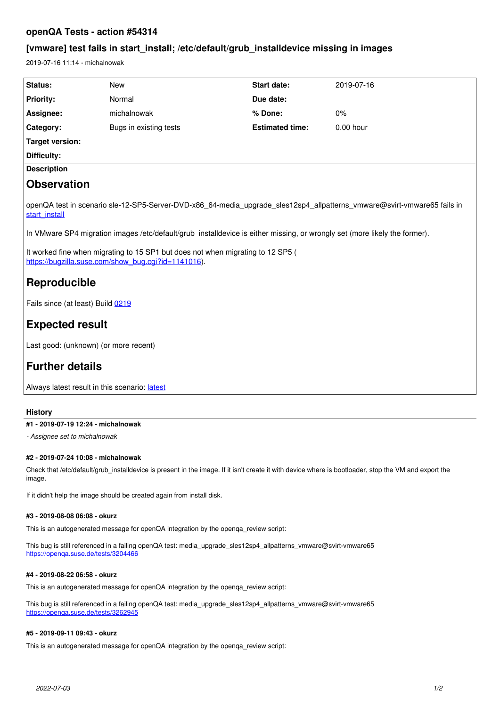## **openQA Tests - action #54314**

## **[vmware] test fails in start\_install; /etc/default/grub\_installdevice missing in images**

2019-07-16 11:14 - michalnowak

| <b>Status:</b>     | New                    | <b>Start date:</b>     | 2019-07-16  |
|--------------------|------------------------|------------------------|-------------|
| <b>Priority:</b>   | Normal                 | Due date:              |             |
| Assignee:          | michalnowak            | % Done:                | 0%          |
| Category:          | Bugs in existing tests | <b>Estimated time:</b> | $0.00$ hour |
| Target version:    |                        |                        |             |
| Difficulty:        |                        |                        |             |
| <b>Description</b> |                        |                        |             |
|                    |                        |                        |             |

# **Observation**

openQA test in scenario sle-12-SP5-Server-DVD-x86\_64-media\_upgrade\_sles12sp4\_allpatterns\_vmware@svirt-vmware65 fails in [start\\_install](https://openqa.suse.de/tests/3053329/modules/start_install/steps/2)

In VMware SP4 migration images /etc/default/grub\_installdevice is either missing, or wrongly set (more likely the former).

It worked fine when migrating to 15 SP1 but does not when migrating to 12 SP5 ( [https://bugzilla.suse.com/show\\_bug.cgi?id=1141016\)](https://bugzilla.suse.com/show_bug.cgi?id=1141016).

# **Reproducible**

Fails since (at least) Build [0219](https://openqa.suse.de/tests/3047822)

# **Expected result**

Last good: (unknown) (or more recent)

# **Further details**

Always [latest](https://openqa.suse.de/tests/latest?machine=svirt-vmware65&flavor=Server-DVD&version=12-SP5&arch=x86_64&distri=sle&test=media_upgrade_sles12sp4_allpatterns_vmware) result in this scenario: latest

## **History**

## **#1 - 2019-07-19 12:24 - michalnowak**

*- Assignee set to michalnowak*

## **#2 - 2019-07-24 10:08 - michalnowak**

Check that /etc/default/grub\_installdevice is present in the image. If it isn't create it with device where is bootloader, stop the VM and export the image.

If it didn't help the image should be created again from install disk.

### **#3 - 2019-08-08 06:08 - okurz**

This is an autogenerated message for openQA integration by the openqa\_review script:

This bug is still referenced in a failing openQA test: media\_upgrade\_sles12sp4\_allpatterns\_vmware@svirt-vmware65 <https://openqa.suse.de/tests/3204466>

## **#4 - 2019-08-22 06:58 - okurz**

This is an autogenerated message for openQA integration by the openqa\_review script:

This bug is still referenced in a failing openQA test: media\_upgrade\_sles12sp4\_allpatterns\_vmware@svirt-vmware65 <https://openqa.suse.de/tests/3262945>

### **#5 - 2019-09-11 09:43 - okurz**

This is an autogenerated message for openQA integration by the openqa\_review script: